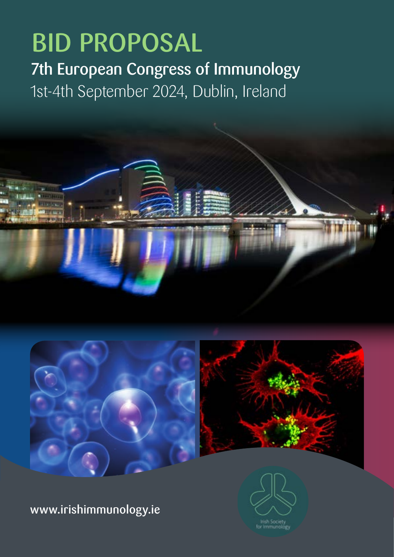# 7th European Congress of Immunology 1st-4th September 2024, Dublin, Ireland BID PROPOSAL





www.irishimmunology.ie

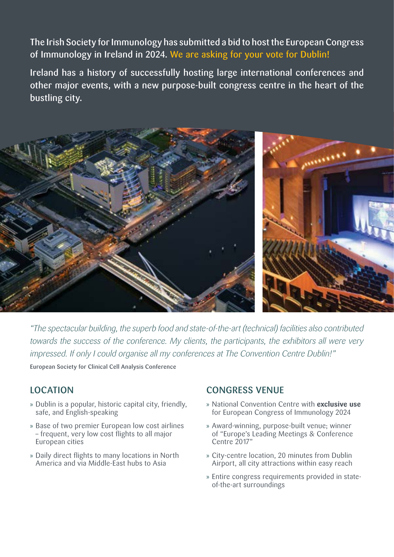The Irish Society for Immunology has submitted a bid to host the European Congress of Immunology in Ireland in 2024. We are asking for your vote for Dublin!

Ireland has a history of successfully hosting large international conferences and other major events, with a new purpose-built congress centre in the heart of the bustling city.



*"The spectacular building, the superb food and state-of-the-art (technical) facilities also contributed towards the success of the conference. My clients, the participants, the exhibitors all were very impressed. If only I could organise all my conferences at The Convention Centre Dublin!"*

European Society for Clinical Cell Analysis Conference

## LOCATION

- » Dublin is a popular, historic capital city, friendly, safe, and English-speaking
- » Base of two premier European low cost airlines – frequent, very low cost flights to all major European cities
- » Daily direct flights to many locations in North America and via Middle-East hubs to Asia

#### CONGRESS VENUE

- » National Convention Centre with **exclusive use** for European Congress of Immunology 2024
- » Award-winning, purpose-built venue; winner of "Europe's Leading Meetings & Conference Centre 2017"
- » City-centre location, 20 minutes from Dublin Airport, all city attractions within easy reach
- » Entire congress requirements provided in stateof-the-art surroundings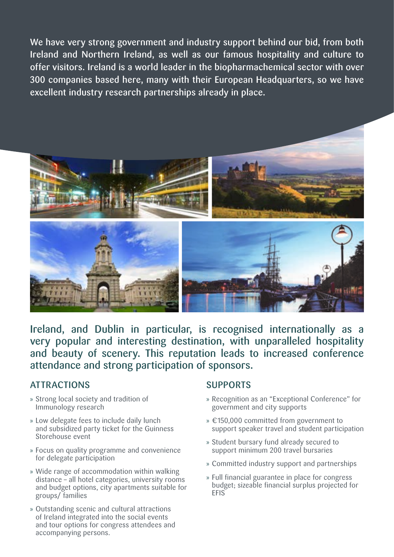We have very strong government and industry support behind our bid, from both Ireland and Northern Ireland, as well as our famous hospitality and culture to offer visitors. Ireland is a world leader in the biopharmachemical sector with over 300 companies based here, many with their European Headquarters, so we have excellent industry research partnerships already in place.



Ireland, and Dublin in particular, is recognised internationally as a very popular and interesting destination, with unparalleled hospitality and beauty of scenery. This reputation leads to increased conference attendance and strong participation of sponsors.

## ATTRACTIONS

- » Strong local society and tradition of Immunology research
- » Low delegate fees to include daily lunch and subsidized party ticket for the Guinness Storehouse event
- » Focus on quality programme and convenience for delegate participation
- » Wide range of accommodation within walking distance – all hotel categories, university rooms and budget options, city apartments suitable for groups/ families
- » Outstanding scenic and cultural attractions of Ireland integrated into the social events and tour options for congress attendees and accompanying persons.

### SUPPORTS

- » Recognition as an "Exceptional Conference" for government and city supports
- » €150,000 committed from government to support speaker travel and student participation
- » Student bursary fund already secured to support minimum 200 travel bursaries
- » Committed industry support and partnerships
- » Full financial guarantee in place for congress budget; sizeable financial surplus projected for **FFIS**